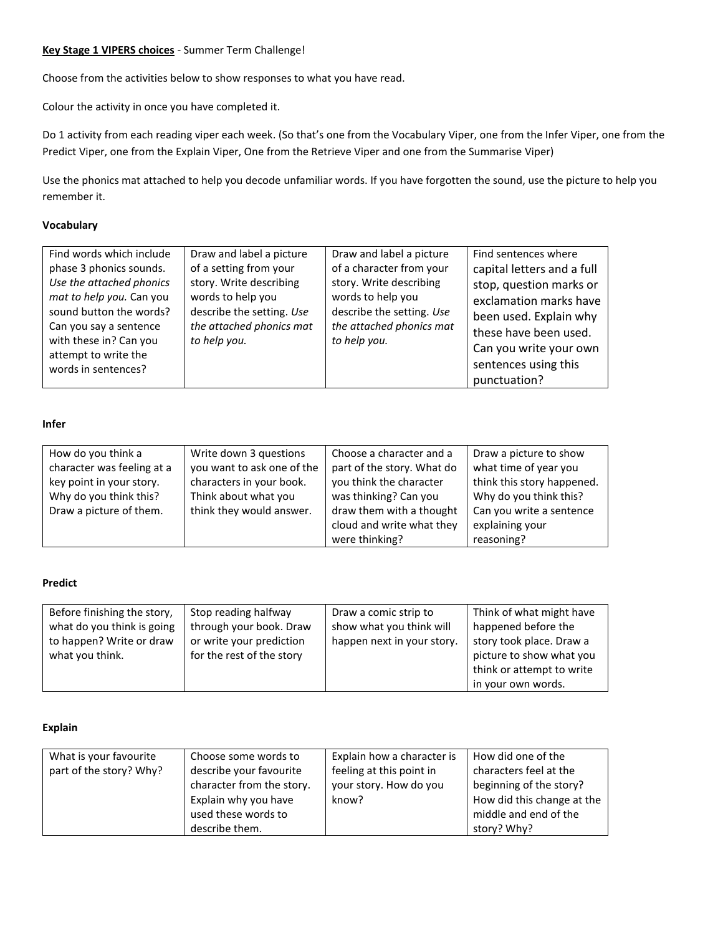### **Key Stage 1 VIPERS choices** - Summer Term Challenge!

Choose from the activities below to show responses to what you have read.

Colour the activity in once you have completed it.

Do 1 activity from each reading viper each week. (So that's one from the Vocabulary Viper, one from the Infer Viper, one from the Predict Viper, one from the Explain Viper, One from the Retrieve Viper and one from the Summarise Viper)

Use the phonics mat attached to help you decode unfamiliar words. If you have forgotten the sound, use the picture to help you remember it.

### **Vocabulary**

#### **Infer**

| How do you think a         | Write down 3 questions     | Choose a character and a   | Draw a picture to show     |
|----------------------------|----------------------------|----------------------------|----------------------------|
| character was feeling at a | you want to ask one of the | part of the story. What do | what time of year you      |
| key point in your story.   | characters in your book.   | you think the character    | think this story happened. |
| Why do you think this?     | Think about what you       | was thinking? Can you      | Why do you think this?     |
| Draw a picture of them.    | think they would answer.   | draw them with a thought   | Can you write a sentence   |
|                            |                            | cloud and write what they  | explaining your            |
|                            |                            | were thinking?             | reasoning?                 |

## **Predict**

| Before finishing the story, | Stop reading halfway      | Draw a comic strip to      | Think of what might have  |
|-----------------------------|---------------------------|----------------------------|---------------------------|
| what do you think is going  | through your book. Draw   | show what you think will   | happened before the       |
| to happen? Write or draw    | or write your prediction  | happen next in your story. | story took place. Draw a  |
| what you think.             | for the rest of the story |                            | picture to show what you  |
|                             |                           |                            | think or attempt to write |
|                             |                           |                            | in your own words.        |

#### **Explain**

| What is your favourite  | Choose some words to      | Explain how a character is | How did one of the         |
|-------------------------|---------------------------|----------------------------|----------------------------|
| part of the story? Why? | describe your favourite   | feeling at this point in   | characters feel at the     |
|                         | character from the story. | your story. How do you     | beginning of the story?    |
|                         | Explain why you have      | know?                      | How did this change at the |
|                         | used these words to       |                            | middle and end of the      |
|                         | describe them.            |                            | story? Why?                |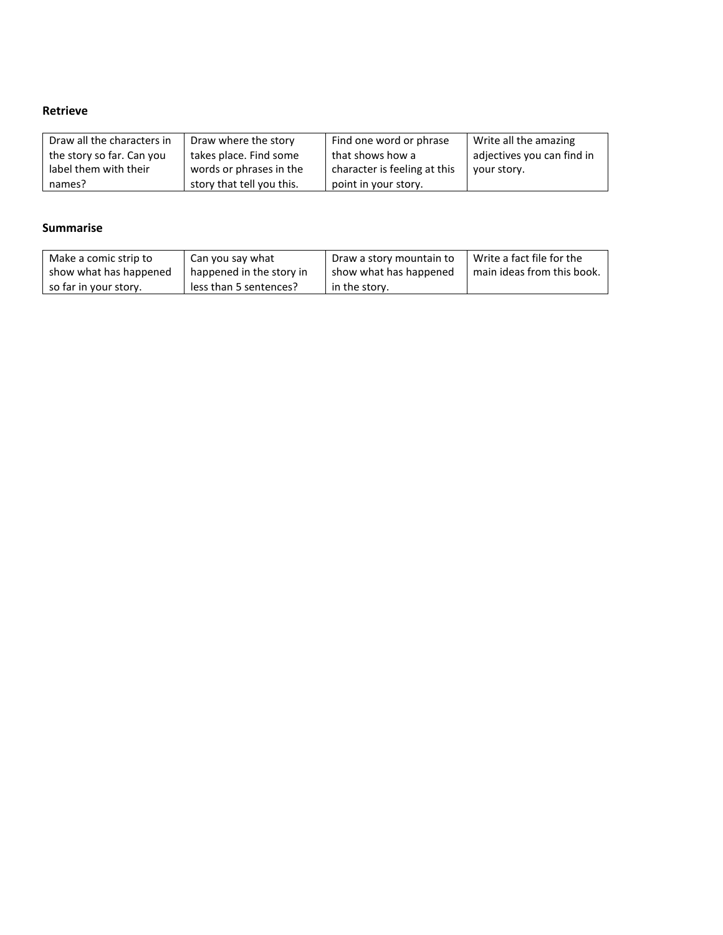# **Retrieve**

| Draw all the characters in | Draw where the story      | Find one word or phrase      | Write all the amazing      |
|----------------------------|---------------------------|------------------------------|----------------------------|
| the story so far. Can you  | takes place. Find some    | that shows how a             | adjectives you can find in |
| label them with their      | words or phrases in the   | character is feeling at this | your story.                |
| names?                     | story that tell you this. | point in your story.         |                            |

# **Summarise**

| Make a comic strip to  | Can you say what         | Draw a story mountain to | Write a fact file for the  |
|------------------------|--------------------------|--------------------------|----------------------------|
| show what has happened | happened in the story in | show what has happened   | main ideas from this book. |
| so far in your story.  | less than 5 sentences?   | in the story.            |                            |